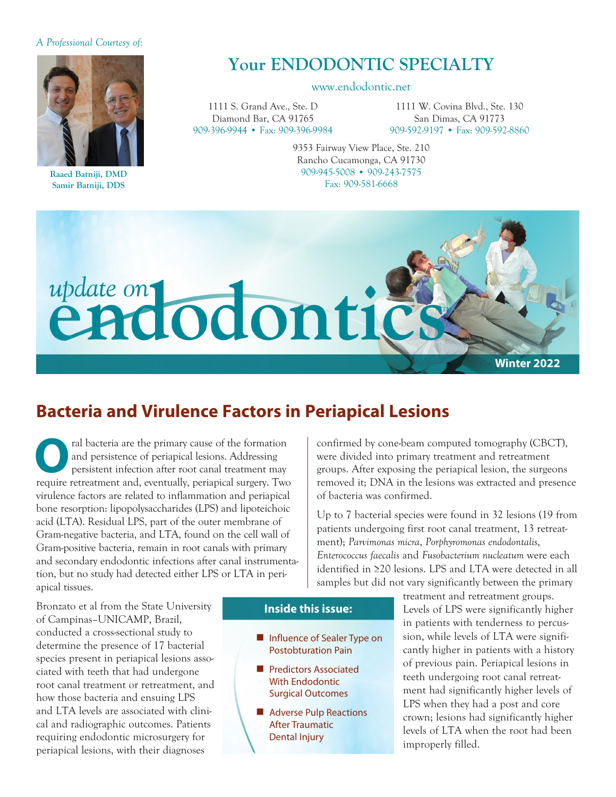#### *A Professional Courtesy of:*



**Raaed Batniji, DMD Samir Batniji, DDS**

# **Your ENDODONTIC SPECIALTY**

#### www.endodontic.net

1111 S. Grand Ave., Ste. D Diamond Bar, CA 91765 909-396-9944 • Fax: 909-396-9984

1111 W. Covina Blvd., Ste. 130 San Dimas, CA 91773 909-592-9197 • Fax: 909-592-8860

9353 Fairway View Place, Ste. 210 Rancho Cucamonga, CA 91730 909-945-5008 • 909-243-7575 Fax: 909-581-6668



## **Bacteria and Virulence Factors in Periapical Lesions**

**O**ral bacteria are the primary cause of the formation and persistence of periapical lesions. Addressing persistent infection after root canal treatment may require retreatment and avenuelly periopical surgery. Two and persistence of periapical lesions. Addressing require retreatment and, eventually, periapical surgery. Two virulence factors are related to inflammation and periapical bone resorption: lipopolysaccharides (LPS) and lipoteichoic acid (LTA). Residual LPS, part of the outer membrane of Gram-negative bacteria, and LTA, found on the cell wall of Gram-positive bacteria, remain in root canals with primary and secondary endodontic infections after canal instrumentation, but no study had detected either LPS or LTA in periapical tissues.

confirmed by cone-beam computed tomography (CBCT), were divided into primary treatment and retreatment groups. After exposing the periapical lesion, the surgeons removed it; DNA in the lesions was extracted and presence of bacteria was confirmed.

Up to 7 bacterial species were found in 32 lesions (19 from patients undergoing first root canal treatment, 13 retreatment); *Parvimonas micra*, *Porphyromonas endodontalis*, *Enterococcus faecalis* and *Fusobacterium nucleatum* were each identified in ≥20 lesions. LPS and LTA were detected in all samples but did not vary significantly between the primary

Bronzato et al from the State University of Campinas–UNICAMP, Brazil, conducted a cross-sectional study to determine the presence of 17 bacterial species present in periapical lesions associated with teeth that had undergone root canal treatment or retreatment, and how those bacteria and ensuing LPS and LTA levels are associated with clinical and radiographic outcomes. Patients requiring endodontic microsurgery for periapical lesions, with their diagnoses

#### **Inside this issue:**

- **n** Influence of Sealer Type on Postobturation Pain
- **n** Predictors Associated With Endodontic Surgical Outcomes
- Adverse Pulp Reactions After Traumatic Dental Injury

treatment and retreatment groups. Levels of LPS were significantly higher in patients with tenderness to percussion, while levels of LTA were significantly higher in patients with a history of previous pain. Periapical lesions in teeth undergoing root canal retreatment had significantly higher levels of LPS when they had a post and core crown; lesions had significantly higher levels of LTA when the root had been improperly filled.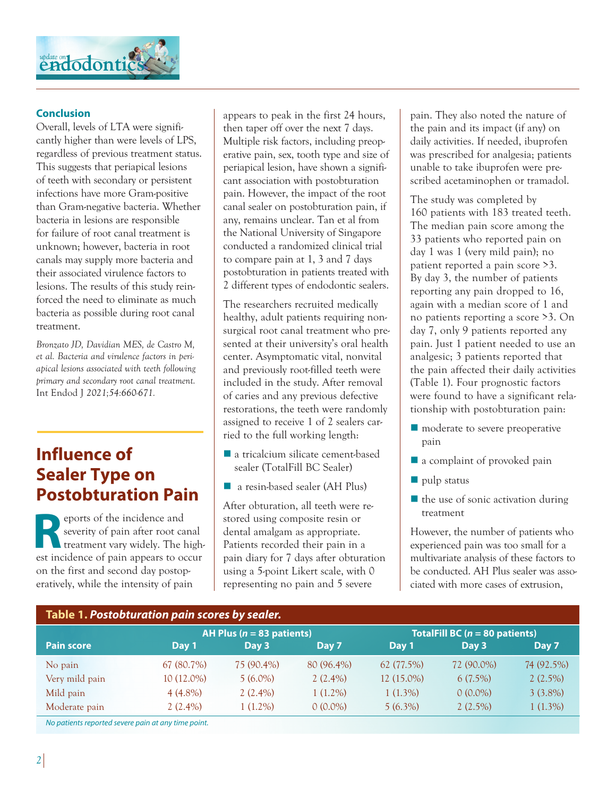

### **Conclusion**

Overall, levels of LTA were significantly higher than were levels of LPS, regardless of previous treatment status. This suggests that periapical lesions of teeth with secondary or persistent infections have more Gram-positive than Gram-negative bacteria. Whether bacteria in lesions are responsible for failure of root canal treatment is unknown; however, bacteria in root canals may supply more bacteria and their associated virulence factors to lesions. The results of this study reinforced the need to eliminate as much bacteria as possible during root canal treatment.

*Bronzato JD, Davidian MES, de Castro M, et al. Bacteria and virulence factors in periapical lesions associated with teeth following primary and secondary root canal treatment.*  Int Endod J *2021;54:660-671.*

# **Influence of Sealer Type on Postobturation Pain**

**Reports of the incidence and<br>reatment vary widely. The last incidence of pain appears to get** severity of pain after root canal treatment vary widely. The highest incidence of pain appears to occur on the first and second day postoperatively, while the intensity of pain

appears to peak in the first 24 hours, then taper off over the next 7 days. Multiple risk factors, including preoperative pain, sex, tooth type and size of periapical lesion, have shown a significant association with postobturation pain. However, the impact of the root canal sealer on postobturation pain, if any, remains unclear. Tan et al from the National University of Singapore conducted a randomized clinical trial to compare pain at 1, 3 and 7 days postobturation in patients treated with 2 different types of endodontic sealers.

The researchers recruited medically healthy, adult patients requiring nonsurgical root canal treatment who presented at their university's oral health center. Asymptomatic vital, nonvital and previously root-filled teeth were included in the study. After removal of caries and any previous defective restorations, the teeth were randomly assigned to receive 1 of 2 sealers carried to the full working length:

- $\blacksquare$  a tricalcium silicate cement-based sealer (TotalFill BC Sealer)
- a resin-based sealer (AH Plus)

After obturation, all teeth were restored using composite resin or dental amalgam as appropriate. Patients recorded their pain in a pain diary for 7 days after obturation using a 5-point Likert scale, with 0 representing no pain and 5 severe

pain. They also noted the nature of the pain and its impact (if any) on daily activities. If needed, ibuprofen was prescribed for analgesia; patients unable to take ibuprofen were prescribed acetaminophen or tramadol.

The study was completed by 160 patients with 183 treated teeth. The median pain score among the 33 patients who reported pain on day 1 was 1 (very mild pain); no patient reported a pain score >3. By day 3, the number of patients reporting any pain dropped to 16, again with a median score of 1 and no patients reporting a score >3. On day 7, only 9 patients reported any pain. Just 1 patient needed to use an analgesic; 3 patients reported that the pain affected their daily activities (Table 1). Four prognostic factors were found to have a significant relationship with postobturation pain:

- $\blacksquare$  moderate to severe preoperative pain
- $\blacksquare$  a complaint of provoked pain
- $\blacksquare$  pulp status
- $\blacksquare$  the use of sonic activation during treatment

However, the number of patients who experienced pain was too small for a multivariate analysis of these factors to be conducted. AH Plus sealer was associated with more cases of extrusion,

| Table 1. Postobturation pain scores by sealer.      |                              |            |            |                                   |            |            |  |  |
|-----------------------------------------------------|------------------------------|------------|------------|-----------------------------------|------------|------------|--|--|
|                                                     | AH Plus ( $n = 83$ patients) |            |            | TotalFill BC ( $n = 80$ patients) |            |            |  |  |
| <b>Pain score</b>                                   | Day 1                        | Day 3      | Day 7      | Day 1                             | Day 3      | Day 7      |  |  |
| No pain                                             | 67 (80.7%)                   | 75 (90.4%) | 80 (96.4%) | 62 (77.5%)                        | 72 (90.0%) | 74 (92.5%) |  |  |
| Very mild pain                                      | $10(12.0\%)$                 | $5(6.0\%)$ | $2(2.4\%)$ | 12 (15.0%)                        | $6(7.5\%)$ | $2(2.5\%)$ |  |  |
| Mild pain                                           | $4(4.8\%)$                   | $2(2.4\%)$ | $1(1.2\%)$ | $1(1.3\%)$                        | $0(0.0\%)$ | $3(3.8\%)$ |  |  |
| Moderate pain                                       | $2(2.4\%)$                   | $1(1.2\%)$ | $0(0.0\%)$ | $5(6.3\%)$                        | $2(2.5\%)$ | $1(1.3\%)$ |  |  |
| No patients reported severe pain at any time point. |                              |            |            |                                   |            |            |  |  |

*2*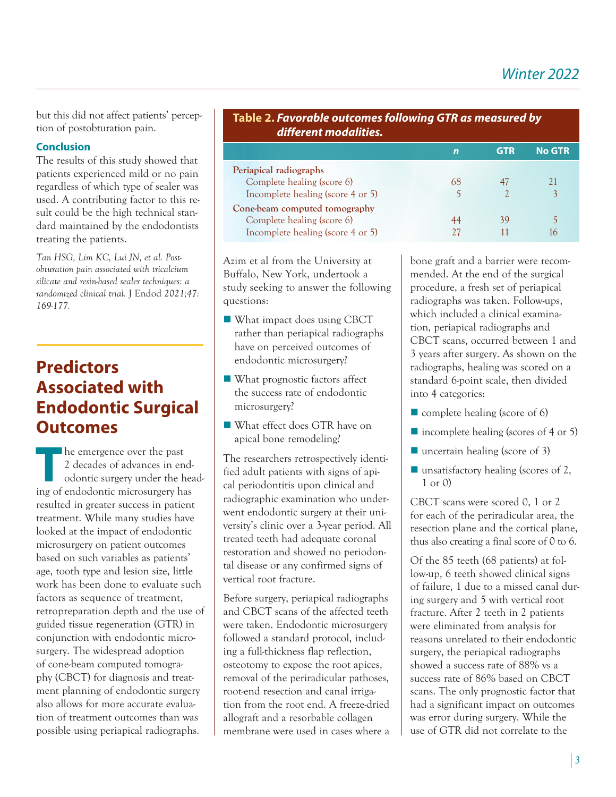but this did not affect patients' perception of postobturation pain.

### **Conclusion**

The results of this study showed that patients experienced mild or no pain regardless of which type of sealer was used. A contributing factor to this result could be the high technical standard maintained by the endodontists treating the patients.

*Tan HSG, Lim KC, Lui JN, et al. Postobturation pain associated with tricalcium silicate and resin-based sealer techniques: a randomized clinical trial.* J Endod *2021;47: 169-177.*

# **Predictors Associated with Endodontic Surgical Outcomes**

The emergence over the past<br>
2 decades of advances in end-<br>
odontic surgery under the head-<br>
ing of andedontic misrogurgery head-2 decades of advances in ending of endodontic microsurgery has resulted in greater success in patient treatment. While many studies have looked at the impact of endodontic microsurgery on patient outcomes based on such variables as patients' age, tooth type and lesion size, little work has been done to evaluate such factors as sequence of treatment, retropreparation depth and the use of guided tissue regeneration (GTR) in conjunction with endodontic microsurgery. The widespread adoption of cone-beam computed tomography (CBCT) for diagnosis and treatment planning of endodontic surgery also allows for more accurate evaluation of treatment outcomes than was possible using periapical radiographs.

| Table 2. Favorable outcomes following GTR as measured by<br>different modalities. |    |            |               |  |  |  |
|-----------------------------------------------------------------------------------|----|------------|---------------|--|--|--|
|                                                                                   | n  | <b>GTR</b> | <b>No GTR</b> |  |  |  |
| Periapical radiographs                                                            |    |            |               |  |  |  |
| Complete healing (score 6)                                                        | 68 |            | 21            |  |  |  |
| Incomplete healing (score 4 or 5)                                                 |    |            |               |  |  |  |
| Cone-beam computed tomography                                                     |    |            |               |  |  |  |
| Complete healing (score 6)                                                        | 44 | 39         |               |  |  |  |
| Incomplete healing (score 4 or 5)                                                 |    |            |               |  |  |  |

Azim et al from the University at Buffalo, New York, undertook a study seeking to answer the following questions:

- What impact does using CBCT rather than periapical radiographs have on perceived outcomes of endodontic microsurgery?
- $\blacksquare$  What prognostic factors affect the success rate of endodontic microsurgery?
- What effect does GTR have on apical bone remodeling?

The researchers retrospectively identified adult patients with signs of apical periodontitis upon clinical and radiographic examination who underwent endodontic surgery at their university's clinic over a 3-year period. All treated teeth had adequate coronal restoration and showed no periodontal disease or any confirmed signs of vertical root fracture.

Before surgery, periapical radiographs and CBCT scans of the affected teeth were taken. Endodontic microsurgery followed a standard protocol, including a full-thickness flap reflection, osteotomy to expose the root apices, removal of the periradicular pathoses, root-end resection and canal irrigation from the root end. A freeze-dried allograft and a resorbable collagen membrane were used in cases where a bone graft and a barrier were recommended. At the end of the surgical procedure, a fresh set of periapical radiographs was taken. Follow-ups, which included a clinical examination, periapical radiographs and CBCT scans, occurred between 1 and 3 years after surgery. As shown on the radiographs, healing was scored on a standard 6-point scale, then divided into 4 categories:

- $\blacksquare$  complete healing (score of 6)
- $\blacksquare$  incomplete healing (scores of 4 or 5)
- $\blacksquare$  uncertain healing (score of 3)
- $\blacksquare$  unsatisfactory healing (scores of 2, 1 or 0)

CBCT scans were scored 0, 1 or 2 for each of the periradicular area, the resection plane and the cortical plane, thus also creating a final score of 0 to 6.

Of the 85 teeth (68 patients) at follow-up, 6 teeth showed clinical signs of failure, 1 due to a missed canal during surgery and 5 with vertical root fracture. After 2 teeth in 2 patients were eliminated from analysis for reasons unrelated to their endodontic surgery, the periapical radiographs showed a success rate of 88% vs a success rate of 86% based on CBCT scans. The only prognostic factor that had a significant impact on outcomes was error during surgery. While the use of GTR did not correlate to the